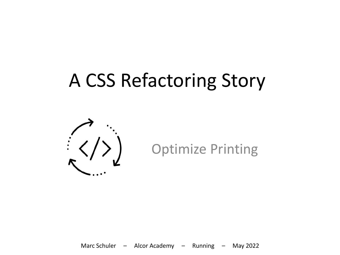### A CSS Refactoring Story

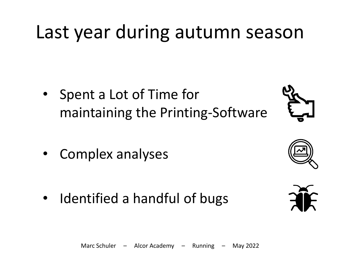### Last year during autumn season

- Spent a Lot of Time for maintaining the Printing-Software
- Complex analyses

Identified a handful of bugs







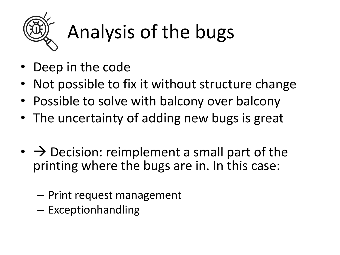

# Analysis of the bugs

- Deep in the code
- Not possible to fix it without structure change
- Possible to solve with balcony over balcony
- The uncertainty of adding new bugs is great
- $\rightarrow$  Decision: reimplement a small part of the printing where the bugs are in. In this case:
	- Print request management
	- Exceptionhandling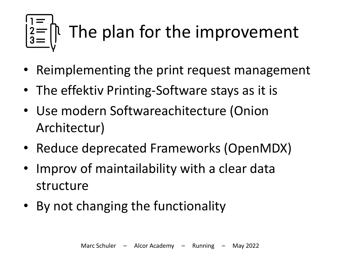# The plan for the improvement

- Reimplementing the print request management
- The effektiv Printing-Software stays as it is
- Use modern Softwareachitecture (Onion Architectur)
- Reduce deprecated Frameworks (OpenMDX)
- Improv of maintailability with a clear data structure
- By not changing the functionality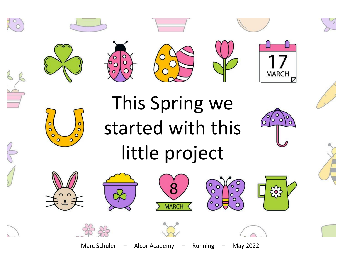













## This Spring we started with this little project

















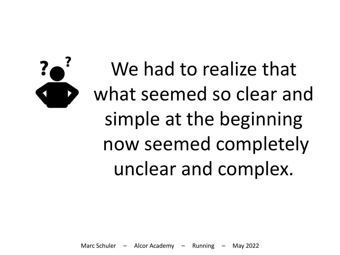# We had to realize that what seemed so clear and simple at the beginning now seemed completely unclear and complex.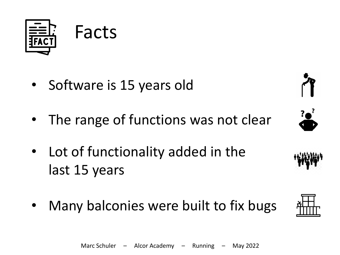

- Software is 15 years old
- The range of functions was not clear
- Lot of functionality added in the last 15 years
- Many balconies were built to fix bugs







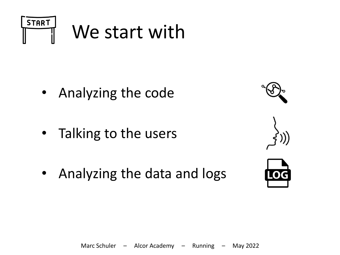

- Analyzing the code
- Talking to the users
- Analyzing the data and logs







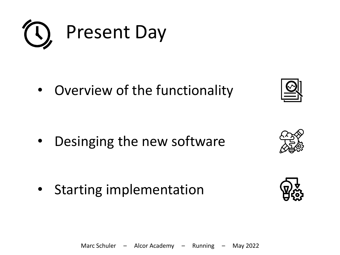

• Overview of the functionality

• Desinging the new software

• Starting implementation





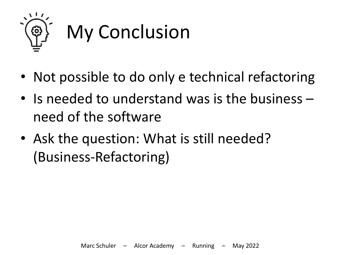

- Not possible to do only e technical refactoring
- Is needed to understand was is the business need of the software
- Ask the question: What is still needed? (Business-Refactoring)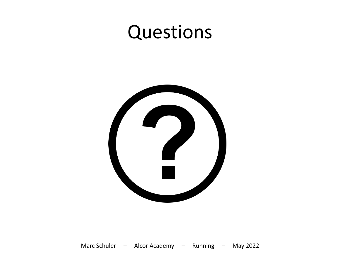#### Questions

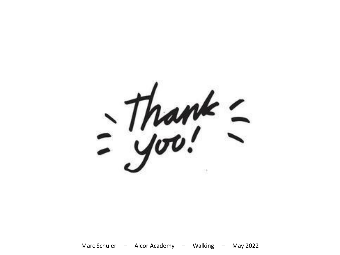